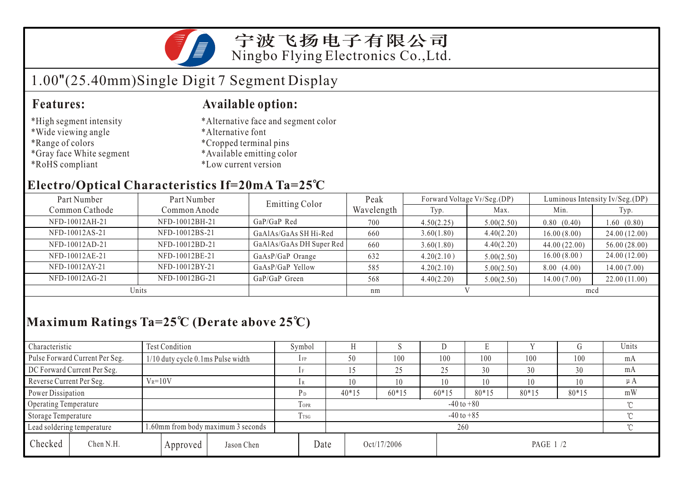

宁波飞扬电子有限公司 Ningbo Flying Electronics Co.,Ltd.

# 1.00"(25.40mm)Single Digit 7 Segment Display

#### **Features: Available option:**

- \*High segment intensity
- \*Wide viewing angle
- \*Range of colors
- \*Gray face White segment
- \*RoHS compliant
- \*Alternative face and segment color
- \*Alternative font
- \*Cropped terminal pins
- \*Available emitting color
- \*Low current version

### **Electro/Optical Characteristics If=20mA Ta=25 C**

| Part Number    | Part Number    | <b>Emitting Color</b>    | Peak       |            | Forward Voltage VF/Seg.(DP) | Luminous Intensity Iv/Seg.(DP) |              |  |
|----------------|----------------|--------------------------|------------|------------|-----------------------------|--------------------------------|--------------|--|
| Common Cathode | Common Anode   |                          | Wavelength | Typ.       | Max.                        | Min.                           | Typ.         |  |
| NFD-10012AH-21 | NFD-10012BH-21 | GaP/GaP Red              | 700        | 4.50(2.25) | 5.00(2.50)                  | 0.80(0.40)                     | 1.60(0.80)   |  |
| NFD-10012AS-21 | NFD-10012BS-21 | GaAlAs/GaAs SH Hi-Red    | 660        | 3.60(1.80) | 4.40(2.20)                  | 16.00(8.00)                    | 24.00(12.00) |  |
| NFD-10012AD-21 | NFD-10012BD-21 | GaAlAs/GaAs DH Super Red | 660        | 3.60(1.80) | 4.40(2.20)                  | 44.00(22.00)                   | 56.00(28.00) |  |
| NFD-10012AE-21 | NFD-10012BE-21 | GaAsP/GaP Orange         | 632        | 4.20(2.10) | 5.00(2.50)                  | 16.00(8.00)                    | 24.00(12.00) |  |
| NFD-10012AY-21 | NFD-10012BY-21 | GaAsP/GaP Yellow         | 585        | 4.20(2.10) | 5.00(2.50)                  | 8.00(4.00)                     | 14.00(7.00)  |  |
| NFD-10012AG-21 | NFD-10012BG-21 | GaP/GaP Green            | 568        | 4.40(2.20) | 5.00(2.50)                  | 14.00(7.00)                    | 22.00(11.00) |  |
| Units          |                |                          | nm         |            |                             | mcd                            |              |  |

## **Maximum Ratings Ta=25 C (Derate above 25 C)**

| Characteristic                                                   |                                         | Test Condition                    |            | Symbol                   |                          |                          |         |         | Ľ.      |         |         | Units |
|------------------------------------------------------------------|-----------------------------------------|-----------------------------------|------------|--------------------------|--------------------------|--------------------------|---------|---------|---------|---------|---------|-------|
|                                                                  | Pulse Forward Current Per Seg.          | 1/10 duty cycle 0.1ms Pulse width |            | $1$ FP                   |                          | 50                       | 100     | 100     | 100     | 100     | 100     | mA    |
|                                                                  | DC Forward Current Per Seg.             |                                   |            |                          |                          |                          | 25      | 25      | 30      | 30      | 30      | mA    |
|                                                                  | Reverse Current Per Seg.<br>$V_R = 10V$ |                                   | 1R         |                          | 10                       | 10                       | 10      | 10      | 10      | 10      | $\mu A$ |       |
| Power Dissipation                                                |                                         |                                   |            | $P_D$                    |                          | $40*15$                  | $60*15$ | $60*15$ | $80*15$ | $80*15$ | $80*15$ | mW    |
| Operating Temperature                                            |                                         |                                   | TOPR       |                          | $-40$ to $+80$<br>$\sim$ |                          |         |         |         |         |         |       |
| Storage Temperature                                              |                                         | T <sub>rsG</sub>                  |            | $-40$ to $+85$<br>$\sim$ |                          |                          |         |         |         |         |         |       |
| 1.60mm from body maximum 3 seconds<br>Lead soldering temperature |                                         |                                   |            |                          | 260                      |                          |         |         |         |         | $\sim$  |       |
| Checked                                                          | Chen N.H.                               | Approved                          | Jason Chen |                          | Date                     | Oct/17/2006<br>PAGE 1 /2 |         |         |         |         |         |       |